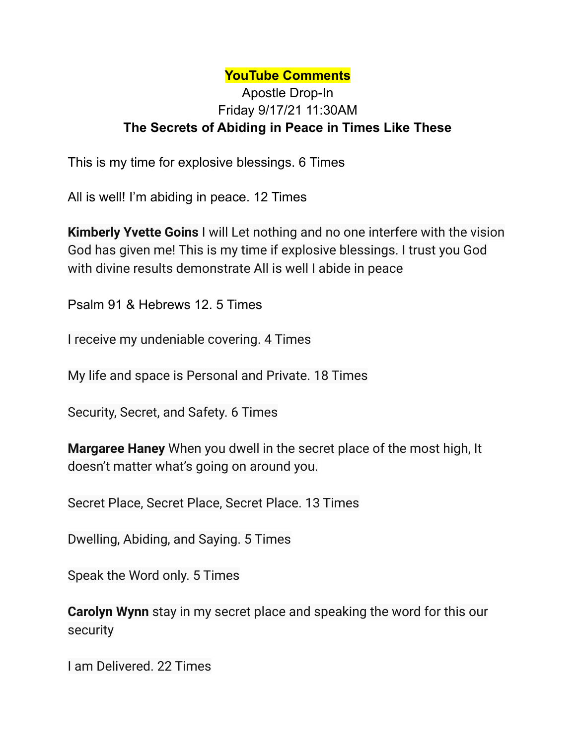## **YouTube Comments**

## Apostle Drop-In Friday 9/17/21 11:30AM **The Secrets of Abiding in Peace in Times Like These**

This is my time for explosive blessings. 6 Times

All is well! I'm abiding in peace. 12 Times

**Kimberly Yvette Goins** I will Let nothing and no one interfere with the vision God has given me! This is my time if explosive blessings. I trust you God with divine results demonstrate All is well I abide in peace

Psalm 91 & Hebrews 12. 5 Times

I receive my undeniable covering. 4 Times

My life and space is Personal and Private. 18 Times

Security, Secret, and Safety. 6 Times

**Margaree Haney** When you dwell in the secret place of the most high, It doesn't matter what's going on around you.

Secret Place, Secret Place, Secret Place. 13 Times

Dwelling, Abiding, and Saying. 5 Times

Speak the Word only. 5 Times

**Carolyn Wynn** stay in my secret place and speaking the word for this our security

I am Delivered. 22 Times